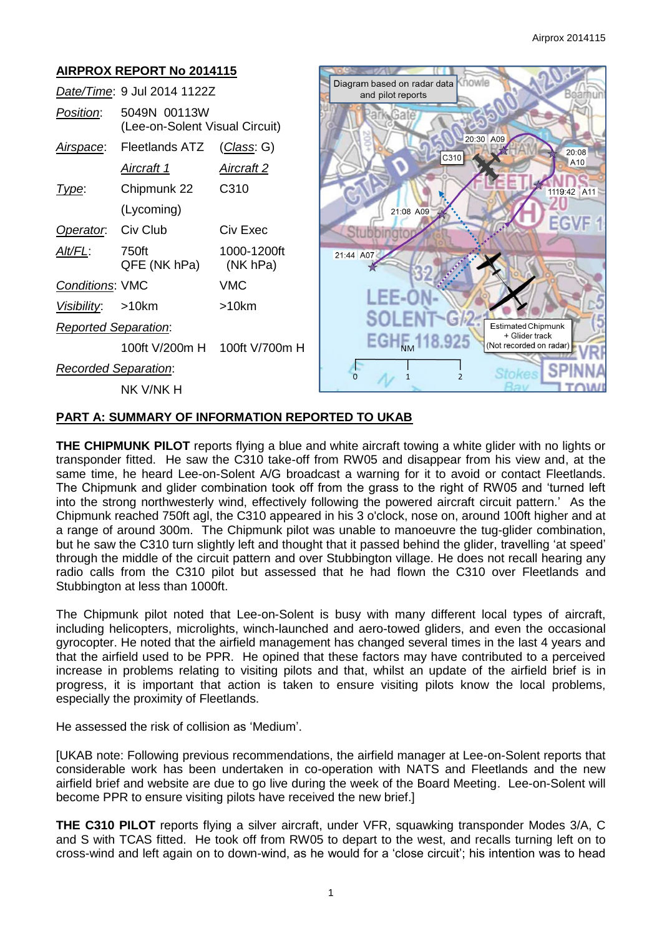

## **PART A: SUMMARY OF INFORMATION REPORTED TO UKAB**

**THE CHIPMUNK PILOT** reports flying a blue and white aircraft towing a white glider with no lights or transponder fitted. He saw the C310 take-off from RW05 and disappear from his view and, at the same time, he heard Lee-on-Solent A/G broadcast a warning for it to avoid or contact Fleetlands. The Chipmunk and glider combination took off from the grass to the right of RW05 and 'turned left into the strong northwesterly wind, effectively following the powered aircraft circuit pattern.' As the Chipmunk reached 750ft agl, the C310 appeared in his 3 o'clock, nose on, around 100ft higher and at a range of around 300m. The Chipmunk pilot was unable to manoeuvre the tug-glider combination, but he saw the C310 turn slightly left and thought that it passed behind the glider, travelling 'at speed' through the middle of the circuit pattern and over Stubbington village. He does not recall hearing any radio calls from the C310 pilot but assessed that he had flown the C310 over Fleetlands and Stubbington at less than 1000ft.

The Chipmunk pilot noted that Lee-on-Solent is busy with many different local types of aircraft, including helicopters, microlights, winch-launched and aero-towed gliders, and even the occasional gyrocopter. He noted that the airfield management has changed several times in the last 4 years and that the airfield used to be PPR. He opined that these factors may have contributed to a perceived increase in problems relating to visiting pilots and that, whilst an update of the airfield brief is in progress, it is important that action is taken to ensure visiting pilots know the local problems, especially the proximity of Fleetlands.

He assessed the risk of collision as 'Medium'.

[UKAB note: Following previous recommendations, the airfield manager at Lee-on-Solent reports that considerable work has been undertaken in co-operation with NATS and Fleetlands and the new airfield brief and website are due to go live during the week of the Board Meeting. Lee-on-Solent will become PPR to ensure visiting pilots have received the new brief.]

**THE C310 PILOT** reports flying a silver aircraft, under VFR, squawking transponder Modes 3/A, C and S with TCAS fitted. He took off from RW05 to depart to the west, and recalls turning left on to cross-wind and left again on to down-wind, as he would for a 'close circuit'; his intention was to head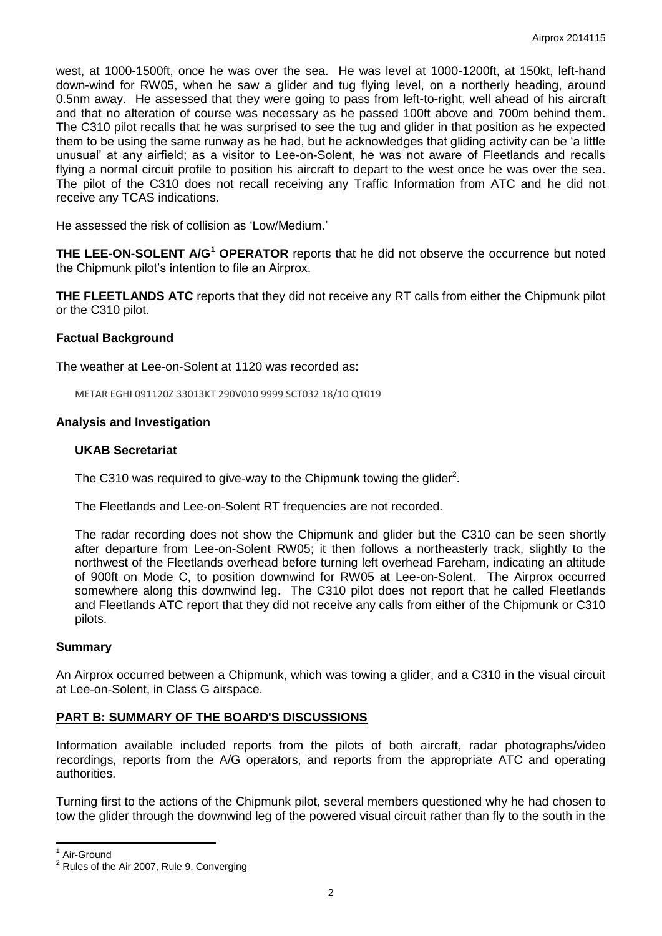west, at 1000-1500ft, once he was over the sea. He was level at 1000-1200ft, at 150kt, left-hand down-wind for RW05, when he saw a glider and tug flying level, on a northerly heading, around 0.5nm away. He assessed that they were going to pass from left-to-right, well ahead of his aircraft and that no alteration of course was necessary as he passed 100ft above and 700m behind them. The C310 pilot recalls that he was surprised to see the tug and glider in that position as he expected them to be using the same runway as he had, but he acknowledges that gliding activity can be 'a little unusual' at any airfield; as a visitor to Lee-on-Solent, he was not aware of Fleetlands and recalls flying a normal circuit profile to position his aircraft to depart to the west once he was over the sea. The pilot of the C310 does not recall receiving any Traffic Information from ATC and he did not receive any TCAS indications.

He assessed the risk of collision as 'Low/Medium.'

**THE LEE-ON-SOLENT A/G<sup>1</sup> OPERATOR** reports that he did not observe the occurrence but noted the Chipmunk pilot's intention to file an Airprox.

**THE FLEETLANDS ATC** reports that they did not receive any RT calls from either the Chipmunk pilot or the C310 pilot.

## **Factual Background**

The weather at Lee-on-Solent at 1120 was recorded as:

METAR EGHI 091120Z 33013KT 290V010 9999 SCT032 18/10 Q1019

## **Analysis and Investigation**

## **UKAB Secretariat**

The C310 was required to give-way to the Chipmunk towing the glider<sup>2</sup>.

The Fleetlands and Lee-on-Solent RT frequencies are not recorded.

The radar recording does not show the Chipmunk and glider but the C310 can be seen shortly after departure from Lee-on-Solent RW05; it then follows a northeasterly track, slightly to the northwest of the Fleetlands overhead before turning left overhead Fareham, indicating an altitude of 900ft on Mode C, to position downwind for RW05 at Lee-on-Solent. The Airprox occurred somewhere along this downwind leg. The C310 pilot does not report that he called Fleetlands and Fleetlands ATC report that they did not receive any calls from either of the Chipmunk or C310 pilots.

## **Summary**

An Airprox occurred between a Chipmunk, which was towing a glider, and a C310 in the visual circuit at Lee-on-Solent, in Class G airspace.

## **PART B: SUMMARY OF THE BOARD'S DISCUSSIONS**

Information available included reports from the pilots of both aircraft, radar photographs/video recordings, reports from the A/G operators, and reports from the appropriate ATC and operating authorities.

Turning first to the actions of the Chipmunk pilot, several members questioned why he had chosen to tow the glider through the downwind leg of the powered visual circuit rather than fly to the south in the

 $\overline{\phantom{a}}$ 

<sup>1</sup> Air-Ground

 $2$  Rules of the Air 2007, Rule 9, Converging